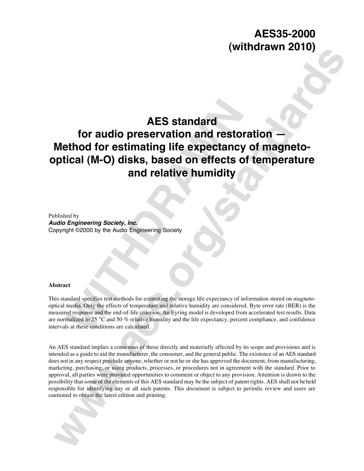## **AES35-2000 (withdrawn 2010)**

## **AES standard**

# **AES standard<br>
Ethod for estimating life expectancy<br>
Stical (M-O) disks, based on effects of<br>
and relative humidity<br>
Regineering Society, Inc.<br>
Regineering Society, Inc.<br>
Regineering Society, Inc.<br>
and the flects of temper for audio preservation and restoration — Method for estimating life expectancy of magnetooptical (M-O) disks, based on effects of temperature and relative humidity**

Published by

*Audio Engineering Society, Inc.* Copyright ©2000 by the Audio Engineering Society

#### **Abstract**

This standard specifies test methods for estimating the storage life expectancy of information stored on magnetooptical media. Only the effects of temperature and relative humidity are considered. Byte error rate (BER) is the measured response and the end-of-life criterion. An Eyring model is developed from accelerated test results. Data are normalized to 25 °C and 50 % relative humidity and the life expectancy, percent compliance, and confidence intervals at these conditions are calculated.

**www.are considered to the construction of the standard for audio preservation and restoration —**<br>**Method for estimating life expectancy of magneto-<br>optical (M-O) disks, based on effects of temperature<br>and relative humidit** An AES standard implies a consensus of those directly and materially affected by its scope and provisions and is intended as a guide to aid the manufacturer, the consumer, and the general public. The existence of an AES standard does not in any respect preclude anyone, whether or not he or she has approved the document, from manufacturing, marketing, purchasing, or using products, processes, or procedures not in agreement with the standard. Prior to approval, all parties were provided opportunities to comment or object to any provision. Attention is drawn to the possibility that some of the elements of this AES standard may be the subject of patent rights. AES shall not be held responsible for identifying any or all such patents. This document is subject to periodic review and users are cautioned to obtain the latest edition and printing.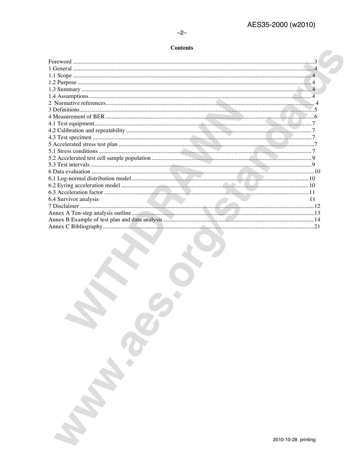$-2-$ 

### **Contents**

| 6.4 Survivor analysis<br>11 |  |
|-----------------------------|--|
|                             |  |
|                             |  |
|                             |  |
|                             |  |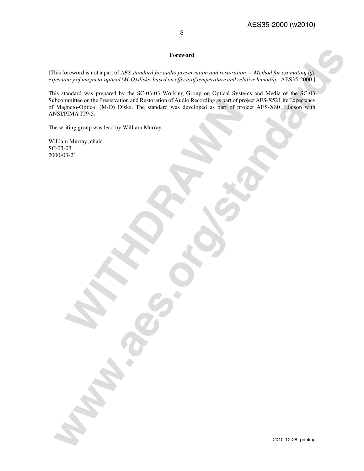#### **Foreword**

[This foreword is not a part of *AES standard for audio preservation and restoration — Method for estimating life expectancy of magneto-optical (M-O) disks, based on effects of temperature and relative humidity, AES35-2000.]* 

minite on the Preservation and Restoration of Audio Recording as part of properties of the Condical (M-O) Disks. The standard was developed as part of properties (M-O) Disks. The standard was developed as part of propertie **Examples Law Concert of AS consideration and Concertainment of AS consideration and Concertainment of AS consideration and Concertainment of AS Concertainment of AS Concertainment of AS Concertainment of AS Concertainment** This standard was prepared by the SC-03-03 Working Group on Optical Systems and Media of the SC-03 Subcommittee on the Preservation and Restoration of Audio Recording as part of project AES-X52 Life Expectancy of Magneto-Optical (M-O) Disks. The standard was developed as part of project AES-X80, Liaison with ANSI/PIMA IT9-5.

The writing group was lead by William Murray.

William Murray, chair SC-03-03 2000-03-21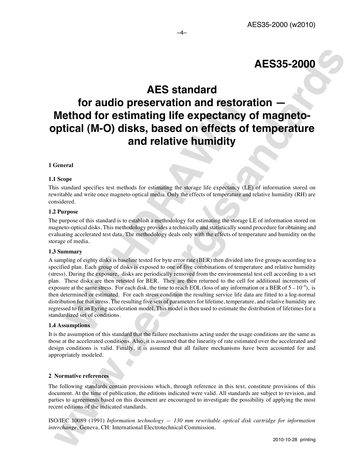## **AES standard**

–4–

## **for audio preservation and restoration — Method for estimating life expectancy of magnetooptical (M-O) disks, based on effects of temperature and relative humidity**

#### **1 General**

#### **1.1 Scope**

This standard specifies test methods for estimating the storage life expectancy (LE) of information stored on rewritable and write once magneto-optical media. Only the effects of temperature and relative humidity (RH) are considered.

#### **1.2 Purpose**

The purpose of this standard is to establish a methodology for estimating the storage LE of information stored on magneto-optical disks. This methodology provides a technically and statistically sound procedure for obtaining and evaluating accelerated test data. The methodology deals only with the effects of temperature and humidity on the storage of media.

#### **1.3 Summary**

**For audio preservation and restonly that the conduct of the system and the system of the system of the system of the system of the system of the system of the system of the system of the system of the system of the system AES standard<br>
Second for such presentation and restoration —**<br> **Welfood for estimating life expectancy of magneto-<br>
Method for estimating life expectancy of magneto-<br>
Second and relative humidity<br>
Control<br>
Second and rela** A sampling of eighty disks is baseline tested for byte error rate (BER) then divided into five groups according to a specified plan. Each group of disks is exposed to one of five combinations of temperature and relative humidity (stress). During the exposure, disks are periodically removed from the environmental test cell according to a set plan. These disks are then retested for BER. They are then returned to the cell for additional increments of exposure at the same stress. For each disk, the time to reach EOL (loss of any information or a BER of  $5 - 10^{-4}$ ), is then determined or estimated. For each stress condition the resulting service life data are fitted to a log-normal distribution for that stress. The resulting five sets of parameters for lifetime, temperature, and relative humidity are regressed to fit an Eyring acceleration model. This model is then used to estimate the distribution of lifetimes for a standardized set of conditions.

#### **1.4 Assumptions**

It is the assumption of this standard that the failure mechanisms acting under the usage conditions are the same as those at the accelerated conditions. Also, it is assumed that the linearity of rate estimated over the accelerated and design conditions is valid. Finally, it is assumed that all failure mechanisms have been accounted for and appropriately modeled.

#### **2 Normative references**

The following standards contain provisions which, through reference in this text, constitute provisions of this document. At the time of publication, the editions indicated were valid. All standards are subject to revision, and parties to agreements based on this document are encouraged to investigate the possibility of applying the most recent editions of the indicated standards.

ISO/IEC 10089 (1991) *Information technology — 130 mm rewritable optical disk cartridge for information interchange*. Geneva, CH: International Electrotechnical Commission.